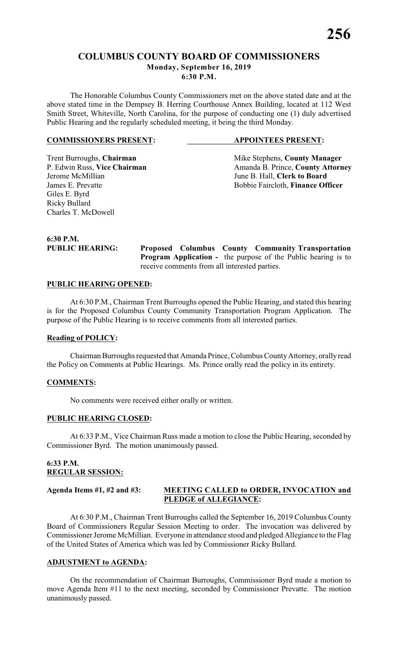# **COLUMBUS COUNTY BOARD OF COMMISSIONERS Monday, September 16, 2019 6:30 P.M.**

The Honorable Columbus County Commissioners met on the above stated date and at the above stated time in the Dempsey B. Herring Courthouse Annex Building, located at 112 West Smith Street, Whiteville, North Carolina, for the purpose of conducting one (1) duly advertised Public Hearing and the regularly scheduled meeting, it being the third Monday.

#### **COMMISSIONERS PRESENT: APPOINTEES PRESENT:**

Jerome McMillian June B. Hall, **Clerk to Board** Giles E. Byrd Ricky Bullard Charles T. McDowell

Trent Burroughs, **Chairman** Mike Stephens, **County Manager** P. Edwin Russ, Vice Chairman Manager Amanda B. Prince, **County Attorn** P. Edwin Russ, **Vice Chairman** Amanda B. Prince, **County Attorney**<br>Jerome McMillian June B. Hall. Clerk to Board Bobbie Faircloth, Finance Officer

**6:30 P.M.**

**PUBLIC HEARING: Proposed Columbus County Community Transportation Program Application -** the purpose of the Public hearing is to receive comments from all interested parties.

#### **PUBLIC HEARING OPENED:**

At 6:30 P.M., Chairman Trent Burroughs opened the Public Hearing, and stated this hearing is for the Proposed Columbus County Community Transportation Program Application. The purpose of the Public Hearing is to receive comments from all interested parties.

#### **Reading of POLICY:**

Chairman Burroughs requested that Amanda Prince, Columbus County Attorney, orally read the Policy on Comments at Public Hearings. Ms. Prince orally read the policy in its entirety.

#### **COMMENTS:**

No comments were received either orally or written.

#### **PUBLIC HEARING CLOSED:**

At 6:33 P.M., Vice Chairman Russ made a motion to close the Public Hearing, seconded by Commissioner Byrd. The motion unanimously passed.

## **6:33 P.M. REGULAR SESSION:**

## **Agenda Items #1, #2 and #3: MEETING CALLED to ORDER, INVOCATION and PLEDGE of ALLEGIANCE:**

At 6:30 P.M., Chairman Trent Burroughs called the September 16, 2019 Columbus County Board of Commissioners Regular Session Meeting to order. The invocation was delivered by Commissioner Jerome McMillian. Everyone in attendance stood and pledged Allegiance to the Flag of the United States of America which was led by Commissioner Ricky Bullard.

#### **ADJUSTMENT to AGENDA:**

On the recommendation of Chairman Burroughs, Commissioner Byrd made a motion to move Agenda Item #11 to the next meeting, seconded by Commissioner Prevatte. The motion unanimously passed.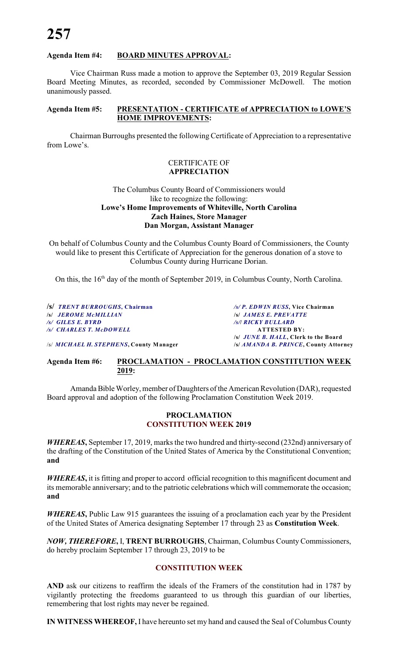#### **Agenda Item #4: BOARD MINUTES APPROVAL:**

Vice Chairman Russ made a motion to approve the September 03, 2019 Regular Session Board Meeting Minutes, as recorded, seconded by Commissioner McDowell. The motion unanimously passed.

#### **Agenda Item #5: PRESENTATION - CERTIFICATE of APPRECIATION to LOWE'S HOME IMPROVEMENTS:**

Chairman Burroughs presented the following Certificate of Appreciation to a representative from Lowe's.

#### CERTIFICATE OF **APPRECIATION**

#### The Columbus County Board of Commissioners would like to recognize the following: **Lowe's Home Improvements of Whiteville, North Carolina Zach Haines, Store Manager Dan Morgan, Assistant Manager**

On behalf of Columbus County and the Columbus County Board of Commissioners, the County would like to present this Certificate of Appreciation for the generous donation of a stove to Columbus County during Hurricane Dorian.

On this, the 16<sup>th</sup> day of the month of September 2019, in Columbus County, North Carolina.

**/s/** *TRENT BURROUGHS***, Chairman** */s/ P. EDWIN RUSS***, Vice Chairman /s/** *JEROME McMILLIAN* **/s/** *JAMES E. PREVATTE /s/ CHARLES T. McDOWELL* **ATTESTED BY:**

**2019:**

*/s/ GILES E. BYRD**/s/***/** *RICKY BULLARD* **/s/** *JUNE B. HALL***, Clerk to the Board** /s/ *MICHAEL H. STEPHENS***, County Manager /s/** *AMANDA B. PRINCE***, County Attorney**

**Agenda Item #6: PROCLAMATION - PROCLAMATION CONSTITUTION WEEK**

Amanda Bible Worley, member of Daughters of the American Revolution (DAR), requested Board approval and adoption of the following Proclamation Constitution Week 2019.

#### **PROCLAMATION CONSTITUTION WEEK 2019**

*WHEREAS***,** September 17, 2019, marks the two hundred and thirty-second (232nd) anniversary of the drafting of the Constitution of the United States of America by the Constitutional Convention; **and**

*WHEREAS***,** it is fitting and proper to accord official recognition to this magnificent document and its memorable anniversary; and to the patriotic celebrations which will commemorate the occasion; **and**

*WHEREAS***,** Public Law 915 guarantees the issuing of a proclamation each year by the President of the United States of America designating September 17 through 23 as **Constitution Week**.

*NOW, THEREFORE***,** I, **TRENT BURROUGHS**, Chairman, Columbus County Commissioners, do hereby proclaim September 17 through 23, 2019 to be

## **CONSTITUTION WEEK**

**AND** ask our citizens to reaffirm the ideals of the Framers of the constitution had in 1787 by vigilantly protecting the freedoms guaranteed to us through this guardian of our liberties, remembering that lost rights may never be regained.

**IN WITNESS WHEREOF,** I have hereunto set my hand and caused the Seal of Columbus County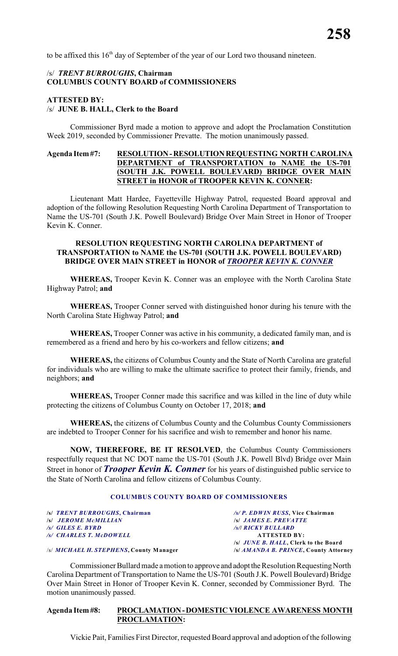to be affixed this  $16<sup>th</sup>$  day of September of the year of our Lord two thousand nineteen.

#### /s/ *TRENT BURROUGHS***, Chairman COLUMBUS COUNTY BOARD of COMMISSIONERS**

#### **ATTESTED BY:** /s/ **JUNE B. HALL, Clerk to the Board**

Commissioner Byrd made a motion to approve and adopt the Proclamation Constitution Week 2019, seconded by Commissioner Prevatte. The motion unanimously passed.

#### **Agenda Item #7: RESOLUTION - RESOLUTION REQUESTING NORTH CAROLINA DEPARTMENT of TRANSPORTATION to NAME the US-701 (SOUTH J.K. POWELL BOULEVARD) BRIDGE OVER MAIN STREET in HONOR of TROOPER KEVIN K. CONNER:**

Lieutenant Matt Hardee, Fayetteville Highway Patrol, requested Board approval and adoption of the following Resolution Requesting North Carolina Department of Transportation to Name the US-701 (South J.K. Powell Boulevard) Bridge Over Main Street in Honor of Trooper Kevin K. Conner.

#### **RESOLUTION REQUESTING NORTH CAROLINA DEPARTMENT of TRANSPORTATION to NAME the US-701 (SOUTH J.K. POWELL BOULEVARD) BRIDGE OVER MAIN STREET in HONOR of** *TROOPER KEVIN K. CONNER*

**WHEREAS,** Trooper Kevin K. Conner was an employee with the North Carolina State Highway Patrol; **and**

**WHEREAS,** Trooper Conner served with distinguished honor during his tenure with the North Carolina State Highway Patrol; **and**

**WHEREAS,** Trooper Conner was active in his community, a dedicated family man, and is remembered as a friend and hero by his co-workers and fellow citizens; **and**

**WHEREAS,** the citizens of Columbus County and the State of North Carolina are grateful for individuals who are willing to make the ultimate sacrifice to protect their family, friends, and neighbors; **and**

**WHEREAS,** Trooper Conner made this sacrifice and was killed in the line of duty while protecting the citizens of Columbus County on October 17, 2018; **and**

**WHEREAS,** the citizens of Columbus County and the Columbus County Commissioners are indebted to Trooper Conner for his sacrifice and wish to remember and honor his name.

**NOW, THEREFORE, BE IT RESOLVED**, the Columbus County Commissioners respectfully request that NC DOT name the US-701 (South J.K. Powell Blvd) Bridge over Main Street in honor of *Trooper Kevin K. Conner* for his years of distinguished public service to the State of North Carolina and fellow citizens of Columbus County.

#### **COLUMBUS COUNTY BOARD OF COMMISSIONERS**

**/s/** *TRENT BURROUGHS***, Chairman** */s/ P. EDWIN RUSS***, Vice Chairman /s/** *JEROME McMILLIAN* **/s/** *JAMES E. PREVATTE /s/ CHARLES T. McDOWELL* **ATTESTED BY:**

*/s/ GILES E. BYRD**/s/***/** *RICKY BULLARD* **/s/** *JUNE B. HALL***, Clerk to the Board**

/s/ *MICHAEL H. STEPHENS***, County Manager /s/** *AMANDA B. PRINCE***, County Attorney**

Commissioner Bullard made a motion to approve and adopt the Resolution Requesting North Carolina Department of Transportation to Name the US-701 (South J.K. Powell Boulevard) Bridge Over Main Street in Honor of Trooper Kevin K. Conner, seconded by Commissioner Byrd. The motion unanimously passed.

#### **Agenda Item #8: PROCLAMATION - DOMESTIC VIOLENCE AWARENESS MONTH PROCLAMATION:**

Vickie Pait, Families First Director, requested Board approval and adoption of the following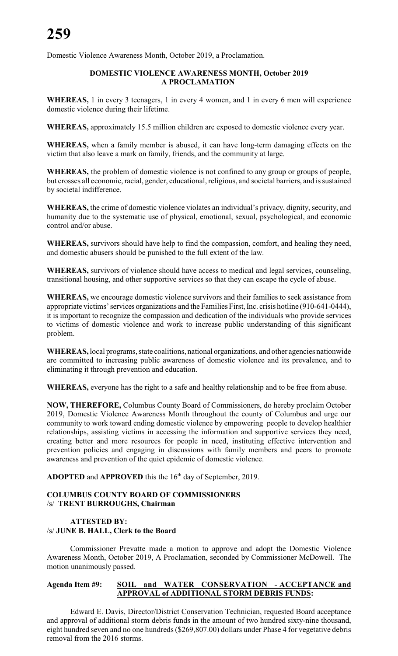Domestic Violence Awareness Month, October 2019, a Proclamation.

#### **DOMESTIC VIOLENCE AWARENESS MONTH, October 2019 A PROCLAMATION**

**WHEREAS,** 1 in every 3 teenagers, 1 in every 4 women, and 1 in every 6 men will experience domestic violence during their lifetime.

**WHEREAS,** approximately 15.5 million children are exposed to domestic violence every year.

**WHEREAS,** when a family member is abused, it can have long-term damaging effects on the victim that also leave a mark on family, friends, and the community at large.

**WHEREAS,** the problem of domestic violence is not confined to any group or groups of people, but crosses all economic, racial, gender, educational, religious, and societal barriers, and is sustained by societal indifference.

**WHEREAS,** the crime of domestic violence violates an individual's privacy, dignity, security, and humanity due to the systematic use of physical, emotional, sexual, psychological, and economic control and/or abuse.

**WHEREAS,** survivors should have help to find the compassion, comfort, and healing they need, and domestic abusers should be punished to the full extent of the law.

**WHEREAS,** survivors of violence should have access to medical and legal services, counseling, transitional housing, and other supportive services so that they can escape the cycle of abuse.

**WHEREAS,** we encourage domestic violence survivors and their families to seek assistance from appropriate victims' services organizations and the Families First, Inc. crisis hotline (910-641-0444), it is important to recognize the compassion and dedication of the individuals who provide services to victims of domestic violence and work to increase public understanding of this significant problem.

**WHEREAS,** local programs, state coalitions, national organizations, and other agencies nationwide are committed to increasing public awareness of domestic violence and its prevalence, and to eliminating it through prevention and education.

**WHEREAS,** everyone has the right to a safe and healthy relationship and to be free from abuse.

**NOW, THEREFORE,** Columbus County Board of Commissioners, do hereby proclaim October 2019, Domestic Violence Awareness Month throughout the county of Columbus and urge our community to work toward ending domestic violence by empowering people to develop healthier relationships, assisting victims in accessing the information and supportive services they need, creating better and more resources for people in need, instituting effective intervention and prevention policies and engaging in discussions with family members and peers to promote awareness and prevention of the quiet epidemic of domestic violence.

**ADOPTED** and **APPROVED** this the 16<sup>th</sup> day of September, 2019.

#### **COLUMBUS COUNTY BOARD OF COMMISSIONERS** /s/ **TRENT BURROUGHS, Chairman**

## **ATTESTED BY:** /s/ **JUNE B. HALL, Clerk to the Board**

Commissioner Prevatte made a motion to approve and adopt the Domestic Violence Awareness Month, October 2019, A Proclamation, seconded by Commissioner McDowell. The motion unanimously passed.

## **Agenda Item #9: SOIL and WATER CONSERVATION - ACCEPTANCE and APPROVAL of ADDITIONAL STORM DEBRIS FUNDS:**

Edward E. Davis, Director/District Conservation Technician, requested Board acceptance and approval of additional storm debris funds in the amount of two hundred sixty-nine thousand, eight hundred seven and no one hundreds (\$269,807.00) dollars under Phase 4 for vegetative debris removal from the 2016 storms.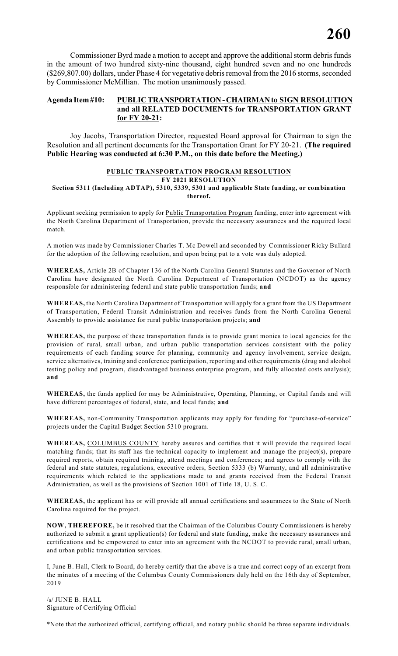Commissioner Byrd made a motion to accept and approve the additional storm debris funds in the amount of two hundred sixty-nine thousand, eight hundred seven and no one hundreds (\$269,807.00) dollars, under Phase 4 for vegetative debris removal from the 2016 storms, seconded by Commissioner McMillian. The motion unanimously passed.

#### **Agenda Item #10: PUBLIC TRANSPORTATION - CHAIRMAN to SIGN RESOLUTION and all RELATED DOCUMENTS for TRANSPORTATION GRANT for FY 20-21:**

Joy Jacobs, Transportation Director, requested Board approval for Chairman to sign the Resolution and all pertinent documents for the Transportation Grant for FY 20-21. **(The required Public Hearing was conducted at 6:30 P.M., on this date before the Meeting.)**

#### **PUBLIC TRANSPORTATION PROGRAM RESOLUTION FY 2021 RESOLUTION Section 5311 (Including ADTAP), 5310, 5339, 5301 and applicable State funding, or combination**

Applicant seeking permission to apply for Public Transportation Program funding, enter into agreement with the North Carolina Department of Transportation, provide the necessary assurances and the required local match.

**thereof.**

A motion was made by Commissioner Charles T. Mc Dowell and seconded by Commissioner Ricky Bullard for the adoption of the following resolution, and upon being put to a vote was duly adopted.

**WHEREAS,** Article 2B of Chapter 136 of the North Carolina General Statutes and the Governor of North Carolina have designated the North Carolina Department of Transportation (NCDOT) as the agency responsible for administering federal and state public transportation funds; **and**

**WHEREAS,** the North Carolina Department of Transportation will apply for a grant from the US Department of Transportation, Federal Transit Administration and receives funds from the North Carolina General Assembly to provide assistance for rural public transportation projects; **and**

**WHEREAS,** the purpose of these transportation funds is to provide grant monies to local agencies for the provision of rural, small urban, and urban public transportation services consistent with the policy requirements of each funding source for planning, community and agency involvement, service design, service alternatives, training and conference participation, reporting and other requirements (drug and alcohol testing policy and program, disadvantaged business enterprise program, and fully allocated costs analysis); **and**

**WHEREAS,** the funds applied for may be Administrative, Operating, Planning, or Capital funds and will have different percentages of federal, state, and local funds; **and**

**WHEREAS,** non-Community Transportation applicants may apply for funding for "purchase-of-service" projects under the Capital Budget Section 5310 program.

**WHEREAS,** COLUMBUS COUNTY hereby assures and certifies that it will provide the required local matching funds; that its staff has the technical capacity to implement and manage the project(s), prepare required reports, obtain required training, attend meetings and conferences; and agrees to comply with the federal and state statutes, regulations, executive orders, Section 5333 (b) Warranty, and all administrative requirements which related to the applications made to and grants received from the Federal Transit Administration, as well as the provisions of Section 1001 of Title 18, U. S. C.

**WHEREAS,** the applicant has or will provide all annual certifications and assurances to the State of North Carolina required for the project.

**NOW, THEREFORE,** be it resolved that the Chairman of the Columbus County Commissioners is hereby authorized to submit a grant application(s) for federal and state funding, make the necessary assurances and certifications and be empowered to enter into an agreement with the NCDOT to provide rural, small urban, and urban public transportation services.

I, June B. Hall, Clerk to Board, do hereby certify that the above is a true and correct copy of an excerpt from the minutes of a meeting of the Columbus County Commissioners duly held on the 16th day of September, 2019

/s/ JUNE B. HALL Signature of Certifying Official

\*Note that the authorized official, certifying official, and notary public should be three separate individuals.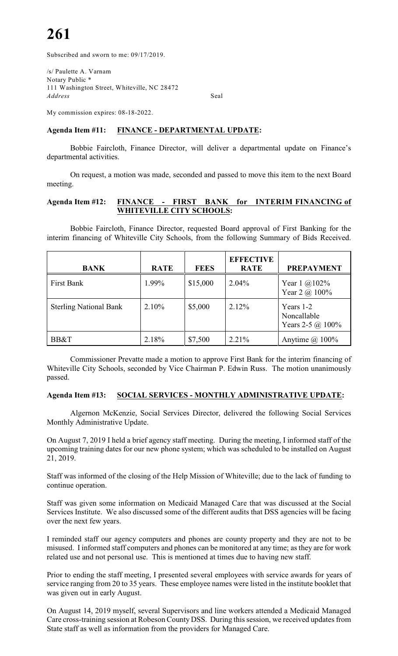Subscribed and sworn to me: 09/17/2019.

/s/ Paulette A. Varnam Notary Public \* 111 Washington Street, Whiteville, NC 28472 *Address* Seal

My commission expires: 08-18-2022.

# **Agenda Item #11: FINANCE - DEPARTMENTAL UPDATE:**

Bobbie Faircloth, Finance Director, will deliver a departmental update on Finance's departmental activities.

On request, a motion was made, seconded and passed to move this item to the next Board meeting.

#### **Agenda Item #12: FINANCE - FIRST BANK for INTERIM FINANCING of WHITEVILLE CITY SCHOOLS:**

Bobbie Faircloth, Finance Director, requested Board approval of First Banking for the interim financing of Whiteville City Schools, from the following Summary of Bids Received.

| <b>BANK</b>                   | <b>RATE</b> | <b>FEES</b> | <b>EFFECTIVE</b><br><b>RATE</b> | <b>PREPAYMENT</b>                                   |
|-------------------------------|-------------|-------------|---------------------------------|-----------------------------------------------------|
| <b>First Bank</b>             | 1.99%       | \$15,000    | 2.04%                           | Year $1 \ (\omega) 102\%$<br>Year 2 @ 100%          |
| <b>Sterling National Bank</b> | 2.10%       | \$5,000     | 2.12%                           | Years 1-2<br>Noncallable<br>Years 2-5 $\omega$ 100% |
| BB&T                          | 2.18%       | \$7,500     | 2.21%                           | Anytime $\omega$ 100%                               |

Commissioner Prevatte made a motion to approve First Bank for the interim financing of Whiteville City Schools, seconded by Vice Chairman P. Edwin Russ. The motion unanimously passed.

#### **Agenda Item #13: SOCIAL SERVICES - MONTHLY ADMINISTRATIVE UPDATE:**

Algernon McKenzie, Social Services Director, delivered the following Social Services Monthly Administrative Update.

On August 7, 2019 I held a brief agency staff meeting. During the meeting, I informed staff of the upcoming training dates for our new phone system; which was scheduled to be installed on August 21, 2019.

Staff was informed of the closing of the Help Mission of Whiteville; due to the lack of funding to continue operation.

Staff was given some information on Medicaid Managed Care that was discussed at the Social Services Institute. We also discussed some of the different audits that DSS agencies will be facing over the next few years.

I reminded staff our agency computers and phones are county property and they are not to be misused. I informed staff computers and phones can be monitored at any time; as they are for work related use and not personal use. This is mentioned at times due to having new staff.

Prior to ending the staff meeting, I presented several employees with service awards for years of service ranging from 20 to 35 years. These employee names were listed in the institute booklet that was given out in early August.

On August 14, 2019 myself, several Supervisors and line workers attended a Medicaid Managed Care cross-training session at Robeson County DSS. During this session, we received updates from State staff as well as information from the providers for Managed Care.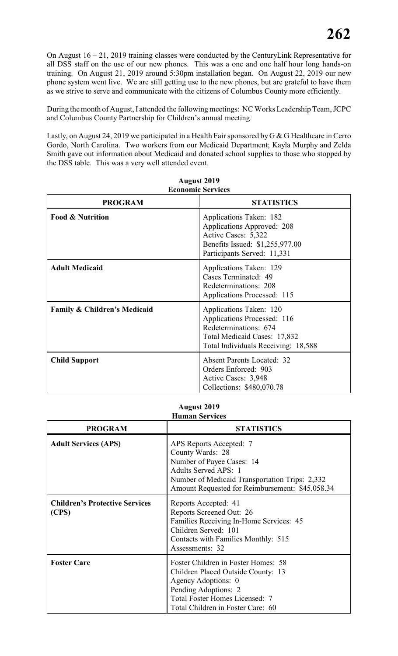On August 16 – 21, 2019 training classes were conducted by the CenturyLink Representative for all DSS staff on the use of our new phones. This was a one and one half hour long hands-on training. On August 21, 2019 around 5:30pm installation began. On August 22, 2019 our new phone system went live. We are still getting use to the new phones, but are grateful to have them as we strive to serve and communicate with the citizens of Columbus County more efficiently.

During the month of August, I attended the following meetings: NC Works Leadership Team, JCPC and Columbus County Partnership for Children's annual meeting.

Lastly, on August 24, 2019 we participated in a Health Fair sponsored by G & G Healthcare in Cerro Gordo, North Carolina. Two workers from our Medicaid Department; Kayla Murphy and Zelda Smith gave out information about Medicaid and donated school supplies to those who stopped by the DSS table. This was a very well attended event.

| есопонне эсі уксу                       |                                                                                                                                                        |  |  |  |  |  |
|-----------------------------------------|--------------------------------------------------------------------------------------------------------------------------------------------------------|--|--|--|--|--|
| <b>PROGRAM</b>                          | <b>STATISTICS</b>                                                                                                                                      |  |  |  |  |  |
| <b>Food &amp; Nutrition</b>             | Applications Taken: 182<br>Applications Approved: 208<br>Active Cases: 5,322<br>Benefits Issued: \$1,255,977.00<br>Participants Served: 11,331         |  |  |  |  |  |
| <b>Adult Medicaid</b>                   | Applications Taken: 129<br>Cases Terminated: 49<br>Redeterminations: 208<br>Applications Processed: 115                                                |  |  |  |  |  |
| <b>Family &amp; Children's Medicaid</b> | Applications Taken: 120<br>Applications Processed: 116<br>Redeterminations: 674<br>Total Medicaid Cases: 17,832<br>Total Individuals Receiving: 18,588 |  |  |  |  |  |
| <b>Child Support</b>                    | <b>Absent Parents Located: 32</b><br>Orders Enforced: 903<br>Active Cases: 3,948<br>Collections: \$480,070.78                                          |  |  |  |  |  |

**August 2019 Economic Services**

#### **August 2019 Human Services**

| <b>PROGRAM</b>                                 | <b>STATISTICS</b>                                                                                                                                                                                            |
|------------------------------------------------|--------------------------------------------------------------------------------------------------------------------------------------------------------------------------------------------------------------|
| <b>Adult Services (APS)</b>                    | APS Reports Accepted: 7<br>County Wards: 28<br>Number of Payee Cases: 14<br><b>Adults Served APS: 1</b><br>Number of Medicaid Transportation Trips: 2,332<br>Amount Requested for Reimbursement: \$45,058.34 |
| <b>Children's Protective Services</b><br>(CPS) | Reports Accepted: 41<br>Reports Screened Out: 26<br>Families Receiving In-Home Services: 45<br>Children Served: 101<br>Contacts with Families Monthly: 515<br>Assessments: 32                                |
| <b>Foster Care</b>                             | Foster Children in Foster Homes: 58<br>Children Placed Outside County: 13<br>Agency Adoptions: 0<br>Pending Adoptions: 2<br>Total Foster Homes Licensed: 7<br>Total Children in Foster Care: 60              |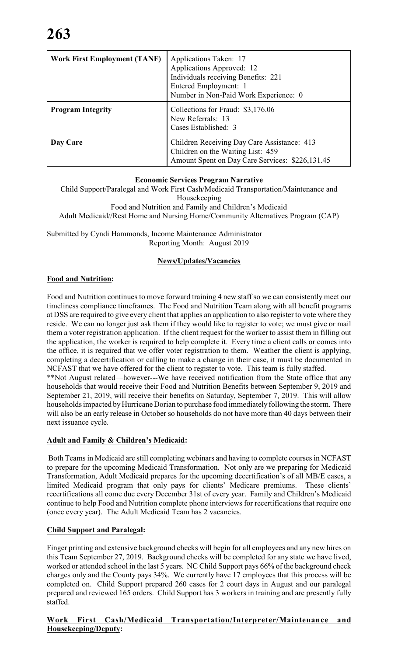| <b>Work First Employment (TANF)</b> | Applications Taken: 17<br>Applications Approved: 12<br>Individuals receiving Benefits: 221<br>Entered Employment: 1<br>Number in Non-Paid Work Experience: 0 |
|-------------------------------------|--------------------------------------------------------------------------------------------------------------------------------------------------------------|
| <b>Program Integrity</b>            | Collections for Fraud: \$3,176.06<br>New Referrals: 13<br>Cases Established: 3                                                                               |
| Day Care                            | Children Receiving Day Care Assistance: 413<br>Children on the Waiting List: 459<br>Amount Spent on Day Care Services: \$226,131.45                          |

## **Economic Services Program Narrative**

Child Support/Paralegal and Work First Cash/Medicaid Transportation/Maintenance and Housekeeping Food and Nutrition and Family and Children's Medicaid Adult Medicaid//Rest Home and Nursing Home/Community Alternatives Program (CAP)

Submitted by Cyndi Hammonds, Income Maintenance Administrator Reporting Month: August 2019

# **News/Updates/Vacancies**

# **Food and Nutrition:**

Food and Nutrition continues to move forward training 4 new staff so we can consistently meet our timeliness compliance timeframes. The Food and Nutrition Team along with all benefit programs at DSS are required to give every client that applies an application to also register to vote where they reside. We can no longer just ask them if they would like to register to vote; we must give or mail them a voter registration application. If the client request for the worker to assist them in filling out the application, the worker is required to help complete it. Every time a client calls or comes into the office, it is required that we offer voter registration to them. Weather the client is applying, completing a decertification or calling to make a change in their case, it must be documented in NCFAST that we have offered for the client to register to vote. This team is fully staffed. \*\*Not August related—however---We have received notification from the State office that any households that would receive their Food and Nutrition Benefits between September 9, 2019 and

September 21, 2019, will receive their benefits on Saturday, September 7, 2019. This will allow households impacted by Hurricane Dorian to purchase food immediately following the storm. There will also be an early release in October so households do not have more than 40 days between their next issuance cycle.

# **Adult and Family & Children's Medicaid:**

 Both Teams in Medicaid are still completing webinars and having to complete courses in NCFAST to prepare for the upcoming Medicaid Transformation. Not only are we preparing for Medicaid Transformation, Adult Medicaid prepares for the upcoming decertification's of all MB/E cases, a limited Medicaid program that only pays for clients' Medicare premiums. These clients' recertifications all come due every December 31st of every year. Family and Children's Medicaid continue to help Food and Nutrition complete phone interviews for recertifications that require one (once every year). The Adult Medicaid Team has 2 vacancies.

# **Child Support and Paralegal:**

Finger printing and extensive background checks will begin for all employees and any new hires on this Team September 27, 2019. Background checks will be completed for any state we have lived, worked or attended school in the last 5 years. NC Child Support pays 66% of the background check charges only and the County pays 34%. We currently have 17 employees that this process will be completed on. Child Support prepared 260 cases for 2 court days in August and our paralegal prepared and reviewed 165 orders. Child Support has 3 workers in training and are presently fully staffed.

## **Work First Cash/Medicaid Transportation/Interpreter/Maintenance and Housekeeping/Deputy:**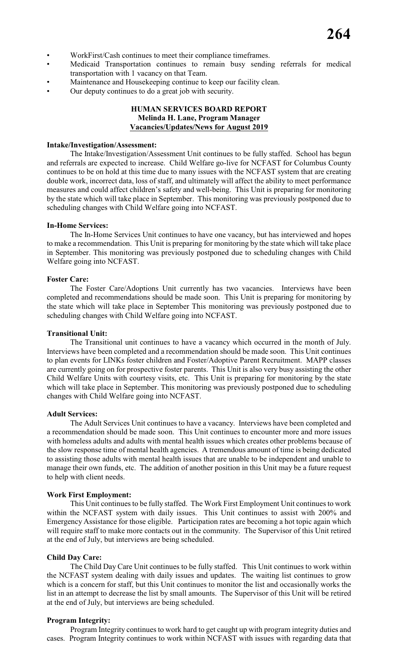- WorkFirst/Cash continues to meet their compliance timeframes.
- Medicaid Transportation continues to remain busy sending referrals for medical transportation with 1 vacancy on that Team.
- Maintenance and Housekeeping continue to keep our facility clean.
- Our deputy continues to do a great job with security.

#### **HUMAN SERVICES BOARD REPORT Melinda H. Lane, Program Manager Vacancies/Updates/News for August 2019**

#### **Intake/Investigation/Assessment:**

The Intake/Investigation/Assessment Unit continues to be fully staffed. School has begun and referrals are expected to increase. Child Welfare go-live for NCFAST for Columbus County continues to be on hold at this time due to many issues with the NCFAST system that are creating double work, incorrect data, loss of staff, and ultimately will affect the ability to meet performance measures and could affect children's safety and well-being. This Unit is preparing for monitoring by the state which will take place in September. This monitoring was previously postponed due to scheduling changes with Child Welfare going into NCFAST.

#### **In-Home Services:**

The In-Home Services Unit continues to have one vacancy, but has interviewed and hopes to make a recommendation. This Unit is preparing for monitoring by the state which will take place in September. This monitoring was previously postponed due to scheduling changes with Child Welfare going into NCFAST.

#### **Foster Care:**

The Foster Care/Adoptions Unit currently has two vacancies. Interviews have been completed and recommendations should be made soon. This Unit is preparing for monitoring by the state which will take place in September This monitoring was previously postponed due to scheduling changes with Child Welfare going into NCFAST.

#### **Transitional Unit:**

The Transitional unit continues to have a vacancy which occurred in the month of July. Interviews have been completed and a recommendation should be made soon. This Unit continues to plan events for LINKs foster children and Foster/Adoptive Parent Recruitment. MAPP classes are currently going on for prospective foster parents. This Unit is also very busy assisting the other Child Welfare Units with courtesy visits, etc. This Unit is preparing for monitoring by the state which will take place in September. This monitoring was previously postponed due to scheduling changes with Child Welfare going into NCFAST.

#### **Adult Services:**

The Adult Services Unit continues to have a vacancy. Interviews have been completed and a recommendation should be made soon. This Unit continues to encounter more and more issues with homeless adults and adults with mental health issues which creates other problems because of the slow response time of mental health agencies. A tremendous amount of time is being dedicated to assisting those adults with mental health issues that are unable to be independent and unable to manage their own funds, etc. The addition of another position in this Unit may be a future request to help with client needs.

#### **Work First Employment:**

This Unit continues to be fully staffed. The Work First Employment Unit continues to work within the NCFAST system with daily issues. This Unit continues to assist with 200% and Emergency Assistance for those eligible. Participation rates are becoming a hot topic again which will require staff to make more contacts out in the community. The Supervisor of this Unit retired at the end of July, but interviews are being scheduled.

#### **Child Day Care:**

The Child Day Care Unit continues to be fully staffed. This Unit continues to work within the NCFAST system dealing with daily issues and updates. The waiting list continues to grow which is a concern for staff, but this Unit continues to monitor the list and occasionally works the list in an attempt to decrease the list by small amounts. The Supervisor of this Unit will be retired at the end of July, but interviews are being scheduled.

#### **Program Integrity:**

Program Integrity continues to work hard to get caught up with program integrity duties and cases. Program Integrity continues to work within NCFAST with issues with regarding data that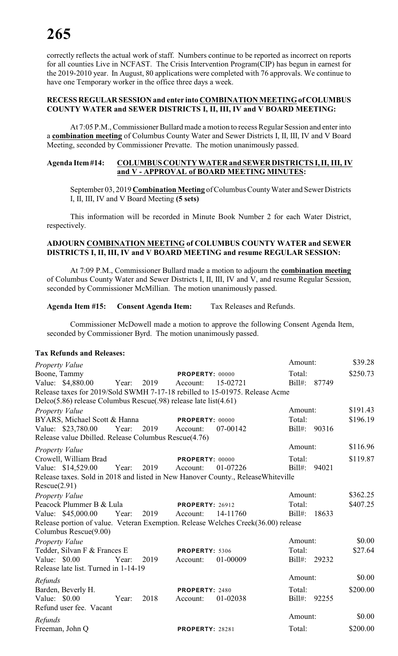correctly reflects the actual work of staff. Numbers continue to be reported as incorrect on reports for all counties Live in NCFAST. The Crisis Intervention Program(CIP) has begun in earnest for the 2019-2010 year. In August, 80 applications were completed with 76 approvals. We continue to have one Temporary worker in the office three days a week.

#### **RECESS REGULAR SESSION and enter into COMBINATION MEETING of COLUMBUS COUNTY WATER and SEWER DISTRICTS I, II, III, IV and V BOARD MEETING:**

At 7:05 P.M., Commissioner Bullard made a motion to recess Regular Session and enter into a **combination meeting** of Columbus County Water and Sewer Districts I, II, III, IV and V Board Meeting, seconded by Commissioner Prevatte. The motion unanimously passed.

#### **Agenda Item #14: COLUMBUS COUNTY WATER and SEWER DISTRICTS I, II, III, IV and V - APPROVAL of BOARD MEETING MINUTES:**

September 03, 2019 **Combination Meeting** of Columbus County Water and Sewer Districts I, II, III, IV and V Board Meeting **(5 sets)**

This information will be recorded in Minute Book Number 2 for each Water District, respectively.

#### **ADJOURN COMBINATION MEETING of COLUMBUS COUNTY WATER and SEWER DISTRICTS I, II, III, IV and V BOARD MEETING and resume REGULAR SESSION:**

At 7:09 P.M., Commissioner Bullard made a motion to adjourn the **combination meeting** of Columbus County Water and Sewer Districts I, II, III, IV and V, and resume Regular Session, seconded by Commissioner McMillian. The motion unanimously passed.

#### **Agenda Item #15: Consent Agenda Item:** Tax Releases and Refunds.

Commissioner McDowell made a motion to approve the following Consent Agenda Item, seconded by Commissioner Byrd. The motion unanimously passed.

#### **Tax Refunds and Releases:**

| Property Value                                                                    |       |      |                             |          | Amount:             |       | \$39.28  |
|-----------------------------------------------------------------------------------|-------|------|-----------------------------|----------|---------------------|-------|----------|
| Boone, Tammy<br>Value: \$4,880.00                                                 | Year: | 2019 | PROPERTY: 00000<br>Account: | 15-02721 | Total:<br>$Bill#$ : | 87749 | \$250.73 |
| Release taxes for 2019/Sold SWMH 7-17-18 rebilled to 15-01975. Release Acme       |       |      |                             |          |                     |       |          |
| Delco(5.86) release Columbus Rescue(.98) release late list(4.61)                  |       |      |                             |          |                     |       |          |
| Property Value                                                                    |       |      |                             |          | Amount:             |       | \$191.43 |
| BYARS, Michael Scott & Hanna                                                      |       |      | PROPERTY: 00000             |          | Total:              |       | \$196.19 |
| Value: \$23,780.00 Year:                                                          |       | 2019 | Account:                    | 07-00142 | Bill#: 90316        |       |          |
| Release value Dbilled. Release Columbus Rescue(4.76)                              |       |      |                             |          |                     |       |          |
| Property Value                                                                    |       |      |                             |          | Amount:             |       | \$116.96 |
| Crowell, William Brad                                                             |       |      | PROPERTY: 00000             |          | Total:              |       | \$119.87 |
| Value: \$14,529.00                                                                | Year: | 2019 | Account:                    | 01-07226 | $Bill#$ :           | 94021 |          |
| Release taxes. Sold in 2018 and listed in New Hanover County., Release Whiteville |       |      |                             |          |                     |       |          |
| Rescue(2.91)                                                                      |       |      |                             |          |                     |       |          |
| Property Value                                                                    |       |      |                             |          | Amount:             |       | \$362.25 |
| Peacock Plummer B & Lula                                                          |       |      | <b>PROPERTY: 26912</b>      |          | Total:              |       | \$407.25 |
| Value: \$45,000.00                                                                | Year: | 2019 | Account:                    | 14-11760 | $Bill#$ :           | 18633 |          |
| Release portion of value. Veteran Exemption. Release Welches Creek(36.00) release |       |      |                             |          |                     |       |          |
| Columbus Rescue(9.00)                                                             |       |      |                             |          |                     |       |          |
| Property Value                                                                    |       |      |                             |          | Amount:             |       | \$0.00   |
| Tedder, Silvan F & Frances E                                                      |       |      | PROPERTY: 5306              |          | Total:              |       | \$27.64  |
| Value: \$0.00                                                                     | Year: | 2019 | Account:                    | 01-00009 | Bill#: 29232        |       |          |
| Release late list. Turned in 1-14-19                                              |       |      |                             |          |                     |       |          |
| Refunds                                                                           |       |      |                             |          | Amount:             |       | \$0.00   |
| Barden, Beverly H.                                                                |       |      | <b>PROPERTY: 2480</b>       |          | Total:              |       | \$200.00 |
| Value: \$0.00                                                                     | Year: | 2018 | Account:                    | 01-02038 | $Bill#$ :           | 92255 |          |
| Refund user fee. Vacant                                                           |       |      |                             |          |                     |       |          |
| Refunds                                                                           |       |      |                             |          | Amount:             |       | \$0.00   |
| Freeman, John Q                                                                   |       |      | <b>PROPERTY: 28281</b>      |          | Total:              |       | \$200.00 |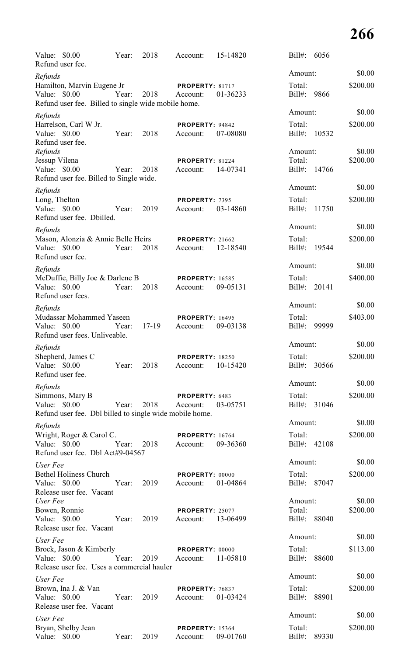| Value: \$0.00                             | Refund user fee.                                                                  | Year: | 2018    | Account:                           | 15-14820 | $Bill#$ :                   | 6056         |                    |
|-------------------------------------------|-----------------------------------------------------------------------------------|-------|---------|------------------------------------|----------|-----------------------------|--------------|--------------------|
| Refunds                                   |                                                                                   |       |         |                                    |          | Amount:                     |              | \$0.00             |
| Value: $$0.00$                            | Hamilton, Marvin Eugene Jr<br>Refund user fee. Billed to single wide mobile home. | Year: | 2018    | <b>PROPERTY: 81717</b><br>Account: | 01-36233 | Total:<br>Bill#:            | 9866         | \$200.00           |
| Refunds                                   |                                                                                   |       |         |                                    |          | Amount:                     |              | \$0.00             |
| Value: \$0.00                             | Harrelson, Carl W Jr.<br>Refund user fee.                                         | Year: | 2018    | PROPERTY: 94842<br>Account:        | 07-08080 | Total:<br>$Bill#$ :         | 10532        | \$200.00           |
| Refunds<br>Jessup Vilena<br>Value: \$0.00 | Refund user fee. Billed to Single wide.                                           | Year: | 2018    | PROPERTY: 81224<br>Account:        | 14-07341 | Amount:<br>Total:<br>Bill#: | 14766        | \$0.00<br>\$200.00 |
| Refunds                                   |                                                                                   |       |         |                                    |          | Amount:                     |              | \$0.00             |
| Long, Thelton<br>Value: \$0.00            | Refund user fee. Dbilled.                                                         | Year: | 2019    | PROPERTY: 7395<br>Account:         | 03-14860 | Total:<br>Bill#:            | 11750        | \$200.00           |
| Refunds                                   |                                                                                   |       |         |                                    |          | Amount:                     |              | \$0.00             |
| Value: \$0.00                             | Mason, Alonzia & Annie Belle Heirs<br>Refund user fee.                            | Year: | 2018    | <b>PROPERTY: 21662</b><br>Account: | 12-18540 | Total:<br>$Bill#$ :         | 19544        | \$200.00           |
| Refunds                                   |                                                                                   |       |         |                                    |          | Amount:                     |              | \$0.00             |
| Value: \$0.00                             | McDuffie, Billy Joe & Darlene B<br>Refund user fees.                              | Year: | 2018    | <b>PROPERTY: 16585</b><br>Account: | 09-05131 | Total:<br>$Bill#$ :         | 20141        | \$400.00           |
| Refunds                                   |                                                                                   |       |         |                                    |          | Amount:                     |              | \$0.00             |
| Value: $$0.00$                            | Mudassar Mohammed Yaseen<br>Refund user fees. Unliveable.                         | Year: | $17-19$ | <b>PROPERTY: 16495</b><br>Account: | 09-03138 | Total:<br>$Bill#$ :         | 99999        | \$403.00           |
| Refunds                                   |                                                                                   |       |         |                                    |          | Amount:                     |              | \$0.00             |
| Value: \$0.00                             | Shepherd, James C<br>Refund user fee.                                             | Year: | 2018    | <b>PROPERTY: 18250</b><br>Account: | 10-15420 | Total:<br>Bill#: 30566      |              | \$200.00           |
| Refunds                                   |                                                                                   |       |         |                                    |          | Amount:                     |              | \$0.00             |
| Value: $$0.00$                            | Simmons, Mary B<br>Refund user fee. Dbl billed to single wide mobile home.        | Year: | 2018    | PROPERTY: 6483<br>Account:         | 03-05751 | Total:<br>Bill#: 31046      |              | \$200.00           |
| Refunds                                   |                                                                                   |       |         |                                    |          | Amount:                     |              | \$0.00             |
| Value: \$0.00                             | Wright, Roger & Carol C.<br>Refund user fee. Dbl Act#9-04567                      | Year: | 2018    | <b>PROPERTY: 16764</b><br>Account: | 09-36360 | Total:<br>Bill#: 42108      |              | \$200.00           |
| User Fee                                  |                                                                                   |       |         |                                    |          | Amount:                     |              | \$0.00             |
| Value: \$0.00                             | <b>Bethel Holiness Church</b><br>Release user fee. Vacant                         | Year: | 2019    | PROPERTY: 00000<br>Account:        | 01-04864 | Total:<br>Bill#: 87047      |              | \$200.00           |
| User Fee<br>Value: \$0.00                 | Bowen, Ronnie<br>Release user fee. Vacant                                         | Year: | 2019    | <b>PROPERTY: 25077</b><br>Account: | 13-06499 | Amount:<br>Total:<br>Bill#: | 88040        | \$0.00<br>\$200.00 |
| User Fee                                  |                                                                                   |       |         |                                    |          | Amount:                     |              | \$0.00             |
| Value: \$0.00                             | Brock, Jason & Kimberly<br>Release user fee. Uses a commercial hauler             | Year: | 2019    | <b>PROPERTY: 00000</b><br>Account: | 11-05810 | Total:<br>$Bill#$ :         | 88600        | \$113.00           |
| User Fee                                  |                                                                                   |       |         |                                    |          | Amount:                     |              | \$0.00             |
| Value: $$0.00$                            | Brown, Ina J. & Van<br>Release user fee. Vacant                                   | Year: | 2019    | PROPERTY: 76837<br>Account:        | 01-03424 | Total:<br>$Bill#$ :         | 88901        | \$200.00           |
| User Fee                                  |                                                                                   |       |         |                                    |          | Amount:                     |              | \$0.00             |
| Value:                                    | Bryan, Shelby Jean<br>\$0.00                                                      | Year: | 2019    | <b>PROPERTY: 15364</b><br>Account: | 09-01760 | Total:                      | Bill#: 89330 | \$200.00           |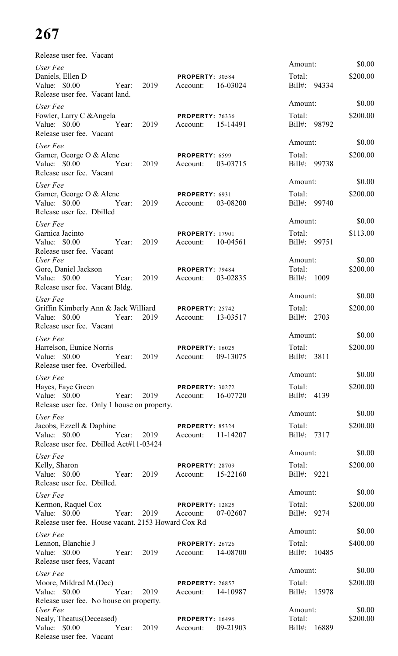| Release user fee. Vacant                                                                                             |                                                |                                        |                    |
|----------------------------------------------------------------------------------------------------------------------|------------------------------------------------|----------------------------------------|--------------------|
| User Fee<br>Daniels, Ellen D<br>Value: \$0.00<br>2019<br>Year:<br>Release user fee. Vacant land.                     | PROPERTY: 30584<br>16-03024<br>Account:        | Amount:<br>Total:<br>Bill#: 94334      | \$0.00<br>\$200.00 |
| User Fee<br>Fowler, Larry C & Angela<br>Value: $$0.00$<br>Year:<br>2019<br>Release user fee. Vacant                  | <b>PROPERTY: 76336</b><br>15-14491<br>Account: | Amount:<br>Total:<br>Bill#: 98792      | \$0.00<br>\$200.00 |
| User Fee<br>Garner, George O & Alene<br>Value: $$0.00$<br>Year:<br>2019<br>Release user fee. Vacant                  | PROPERTY: 6599<br>03-03715<br>Account:         | Amount:<br>Total:<br>Bill#: 99738      | \$0.00<br>\$200.00 |
| User Fee<br>Garner, George O & Alene<br>Value: $$0.00$<br>Year:<br>2019<br>Release user fee. Dbilled                 | PROPERTY: 6931<br>03-08200<br>Account:         | Amount:<br>Total:<br>Bill#: 99740      | \$0.00<br>\$200.00 |
| User Fee<br>Garnica Jacinto<br>Value: \$0.00<br>Year:<br>2019<br>Release user fee. Vacant                            | <b>PROPERTY: 17901</b><br>10-04561<br>Account: | Amount:<br>Total:<br>Bill#: 99751      | \$0.00<br>\$113.00 |
| User Fee<br>Gore, Daniel Jackson<br>2019<br>Value: $$0.00$<br>Year:<br>Release user fee. Vacant Bldg.                | PROPERTY: 79484<br>03-02835<br>Account:        | Amount:<br>Total:<br>$Bill#$ :<br>1009 | \$0.00<br>\$200.00 |
| User Fee<br>Griffin Kimberly Ann & Jack Williard<br>Value: \$0.00<br>2019<br>Year:<br>Release user fee. Vacant       | PROPERTY: 25742<br>13-03517<br>Account:        | Amount:<br>Total:<br>Bill#: 2703       | \$0.00<br>\$200.00 |
| User Fee<br>Harrelson, Eunice Norris<br>Value: $$0.00$<br>Year: 2019<br>Release user fee. Overbilled.                | <b>PROPERTY: 16025</b><br>09-13075<br>Account: | Amount:<br>Total:<br>Bill#: 3811       | \$0.00<br>\$200.00 |
| User Fee<br>Hayes, Faye Green<br>Value: $$0.00$<br>Year: 2019<br>Release user fee. Only 1 house on property.         | <b>PROPERTY: 30272</b><br>16-07720<br>Account: | Amount:<br>Total:<br>Bill#: 4139       | \$0.00<br>\$200.00 |
| User Fee<br>Jacobs, Ezzell & Daphine<br>Value: \$0.00<br>Year: 2019<br>Release user fee. Dbilled Act#11-03424        | <b>PROPERTY: 85324</b><br>11-14207<br>Account: | Amount:<br>Total:<br>Bill#: 7317       | \$0.00<br>\$200.00 |
| User Fee<br>Kelly, Sharon<br>Value: \$0.00<br>Year: 2019<br>Release user fee. Dbilled.                               | PROPERTY: 28709<br>15-22160<br>Account:        | Amount:<br>Total:<br>Bill#: 9221       | \$0.00<br>\$200.00 |
| User Fee<br>Kermon, Raquel Cox<br>Value: $$0.00$<br>Year: 2019<br>Release user fee. House vacant. 2153 Howard Cox Rd | <b>PROPERTY: 12825</b><br>07-02607<br>Account: | Amount:<br>Total:<br>Bill#: 9274       | \$0.00<br>\$200.00 |
| User Fee<br>Lennon, Blanchie J<br>Value: $$0.00$<br>Year: 2019<br>Release user fees, Vacant                          | PROPERTY: 26726<br>14-08700<br>Account:        | Amount:<br>Total:<br>Bill#: 10485      | \$0.00<br>\$400.00 |
| User Fee<br>Moore, Mildred M.(Dec)<br>Year:<br>Value: $$0.00$<br>2019<br>Release user fee. No house on property.     | <b>PROPERTY: 26857</b><br>Account: 14-10987    | Amount:<br>Total:<br>Bill#: 15978      | \$0.00<br>\$200.00 |
| User Fee<br>Nealy, Theatus (Deceased)<br>Value: $$0.00$<br>$\gamma$ Year:<br>2019<br>Release user fee. Vacant        | <b>PROPERTY: 16496</b><br>09-21903<br>Account: | Amount:<br>Total:<br>Bill#: 16889      | \$0.00<br>\$200.00 |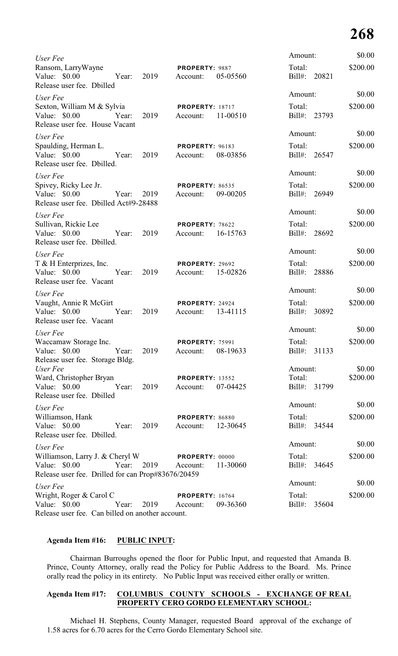| User Fee                                                                                                                |       |            |                                    |          | Amount:                | \$0.00   |
|-------------------------------------------------------------------------------------------------------------------------|-------|------------|------------------------------------|----------|------------------------|----------|
| Ransom, LarryWayne<br>Value: \$0.00<br>Release user fee. Dbilled                                                        | Year: | 2019       | PROPERTY: 9887<br>Account:         | 05-05560 | Total:<br>Bill#: 20821 | \$200.00 |
| User Fee                                                                                                                |       |            |                                    |          | Amount:                | \$0.00   |
| Sexton, William M & Sylvia<br>Value: \$0.00<br>Release user fee. House Vacant                                           | Year: | 2019       | <b>PROPERTY: 18717</b><br>Account: | 11-00510 | Total:<br>Bill#: 23793 | \$200.00 |
| User Fee                                                                                                                |       |            |                                    |          | Amount:                | \$0.00   |
| Spaulding, Herman L.<br>Value: \$0.00<br>Release user fee. Dbilled.                                                     | Year: | 2019       | <b>PROPERTY: 96183</b><br>Account: | 08-03856 | Total:<br>Bill#: 26547 | \$200.00 |
| User Fee                                                                                                                |       |            |                                    |          | Amount:                | \$0.00   |
| Spivey, Ricky Lee Jr.<br>Value: \$0.00<br>Release user fee. Dbilled Act#9-28488                                         | Year: | 2019       | <b>PROPERTY: 86535</b><br>Account: | 09-00205 | Total:<br>Bill#: 26949 | \$200.00 |
| User Fee                                                                                                                |       |            |                                    |          | Amount:                | \$0.00   |
| Sullivan, Rickie Lee<br>Value: \$0.00<br>Release user fee. Dbilled.                                                     | Year: | 2019       | PROPERTY: 78622<br>Account:        | 16-15763 | Total:<br>Bill#: 28692 | \$200.00 |
| User Fee                                                                                                                |       |            |                                    |          | Amount:                | \$0.00   |
| T & H Enterprizes, Inc.<br>Value: \$0.00<br>Release user fee. Vacant                                                    | Year: | 2019       | PROPERTY: 29692<br>Account:        | 15-02826 | Total:<br>Bill#: 28886 | \$200.00 |
| User Fee                                                                                                                |       |            |                                    |          | Amount:                | \$0.00   |
| Vaught, Annie R McGirt<br>Value: \$0.00<br>Release user fee. Vacant                                                     | Year: | 2019       | PROPERTY: 24924<br>Account:        | 13-41115 | Total:<br>Bill#: 30892 | \$200.00 |
| User Fee                                                                                                                |       |            |                                    |          | Amount:                | \$0.00   |
| Waccamaw Storage Inc.<br>Value: \$0.00<br>Release user fee. Storage Bldg.                                               | Year: | 2019       | <b>PROPERTY: 75991</b><br>Account: | 08-19633 | Total:<br>Bill#: 31133 | \$200.00 |
| User Fee                                                                                                                |       |            |                                    |          | Amount:                | \$0.00   |
| Ward, Christopher Bryan<br>Value: \$0.00<br>Release user fee. Dbilled                                                   | Year: | 2019       | <b>PROPERTY: 13552</b><br>Account: | 07-04425 | Total:<br>Bill#: 31799 | \$200.00 |
| User Fee                                                                                                                |       |            |                                    |          | Amount:                | \$0.00   |
| Williamson, Hank<br>Value: $$0.00$<br>Release user fee. Dbilled.                                                        | Year: | 2019       | PROPERTY: 86880<br>Account:        | 12-30645 | Total:<br>Bill#: 34544 | \$200.00 |
| User Fee                                                                                                                |       |            |                                    |          | Amount:                | \$0.00   |
| Williamson, Larry J. & Cheryl W PROPERTY: 00000<br>Value: $$0.00$<br>Release user fee. Drilled for can Prop#83676/20459 |       | Year: 2019 | Account:                           | 11-30060 | Total:<br>Bill#: 34645 | \$200.00 |
| User Fee                                                                                                                |       |            |                                    |          | Amount:                | \$0.00   |
| Wright, Roger & Carol C<br>Value: \$0.00<br>Release user fee. Can billed on another account.                            | Year: | 2019       | <b>PROPERTY: 16764</b><br>Account: | 09-36360 | Total:<br>Bill#: 35604 | \$200.00 |

## **Agenda Item #16: PUBLIC INPUT:**

Chairman Burroughs opened the floor for Public Input, and requested that Amanda B. Prince, County Attorney, orally read the Policy for Public Address to the Board. Ms. Prince orally read the policy in its entirety. No Public Input was received either orally or written.

## **Agenda Item #17: COLUMBUS COUNTY SCHOOLS - EXCHANGE OF REAL PROPERTY CERO GORDO ELEMENTARY SCHOOL:**

Michael H. Stephens, County Manager, requested Board approval of the exchange of 1.58 acres for 6.70 acres for the Cerro Gordo Elementary School site.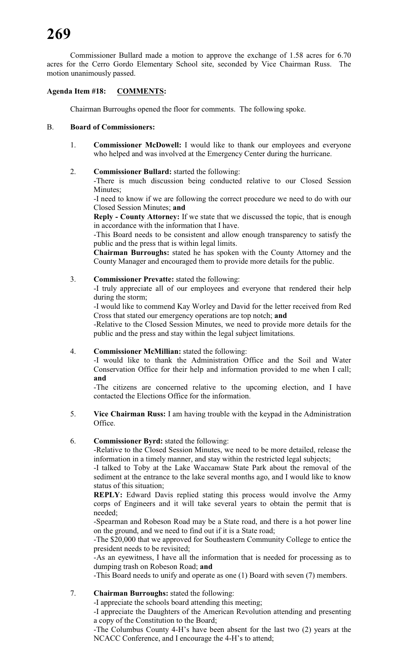Commissioner Bullard made a motion to approve the exchange of 1.58 acres for 6.70 acres for the Cerro Gordo Elementary School site, seconded by Vice Chairman Russ. The motion unanimously passed.

# **Agenda Item #18: COMMENTS:**

Chairman Burroughs opened the floor for comments. The following spoke.

## B. **Board of Commissioners:**

1. **Commissioner McDowell:** I would like to thank our employees and everyone who helped and was involved at the Emergency Center during the hurricane.

## 2. **Commissioner Bullard:** started the following:

-There is much discussion being conducted relative to our Closed Session Minutes;

-I need to know if we are following the correct procedure we need to do with our Closed Session Minutes; **and**

**Reply - County Attorney:** If we state that we discussed the topic, that is enough in accordance with the information that I have.

-This Board needs to be consistent and allow enough transparency to satisfy the public and the press that is within legal limits.

**Chairman Burroughs:** stated he has spoken with the County Attorney and the County Manager and encouraged them to provide more details for the public.

#### 3. **Commissioner Prevatte:** stated the following:

-I truly appreciate all of our employees and everyone that rendered their help during the storm;

-I would like to commend Kay Worley and David for the letter received from Red Cross that stated our emergency operations are top notch; **and**

-Relative to the Closed Session Minutes, we need to provide more details for the public and the press and stay within the legal subject limitations.

#### 4. **Commissioner McMillian:** stated the following:

-I would like to thank the Administration Office and the Soil and Water Conservation Office for their help and information provided to me when I call; **and**

-The citizens are concerned relative to the upcoming election, and I have contacted the Elections Office for the information.

 5. **Vice Chairman Russ:** I am having trouble with the keypad in the Administration Office.

#### 6. **Commissioner Byrd:** stated the following:

-Relative to the Closed Session Minutes, we need to be more detailed, release the information in a timely manner, and stay within the restricted legal subjects;

-I talked to Toby at the Lake Waccamaw State Park about the removal of the sediment at the entrance to the lake several months ago, and I would like to know status of this situation;

**REPLY:** Edward Davis replied stating this process would involve the Army corps of Engineers and it will take several years to obtain the permit that is needed;

-Spearman and Robeson Road may be a State road, and there is a hot power line on the ground, and we need to find out if it is a State road;

-The \$20,000 that we approved for Southeastern Community College to entice the president needs to be revisited;

-As an eyewitness, I have all the information that is needed for processing as to dumping trash on Robeson Road; **and**

-This Board needs to unify and operate as one (1) Board with seven (7) members.

# 7. **Chairman Burroughs:** stated the following:

-I appreciate the schools board attending this meeting;

-I appreciate the Daughters of the American Revolution attending and presenting a copy of the Constitution to the Board;

-The Columbus County 4-H's have been absent for the last two (2) years at the NCACC Conference, and I encourage the 4-H's to attend;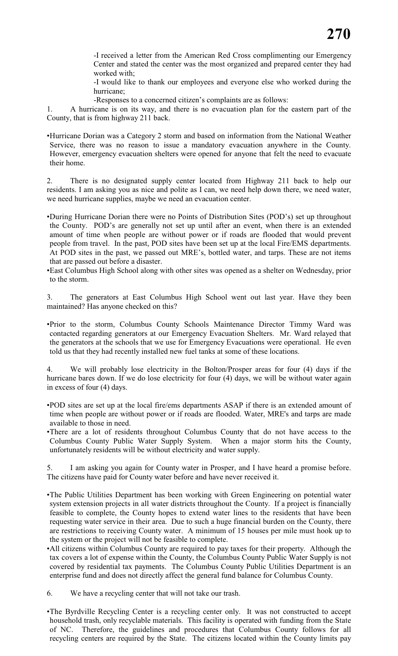-I received a letter from the American Red Cross complimenting our Emergency Center and stated the center was the most organized and prepared center they had worked with;

-I would like to thank our employees and everyone else who worked during the hurricane;

-Responses to a concerned citizen's complaints are as follows:

1. A hurricane is on its way, and there is no evacuation plan for the eastern part of the County, that is from highway 211 back.

•Hurricane Dorian was a Category 2 storm and based on information from the National Weather Service, there was no reason to issue a mandatory evacuation anywhere in the County. However, emergency evacuation shelters were opened for anyone that felt the need to evacuate their home.

2. There is no designated supply center located from Highway 211 back to help our residents. I am asking you as nice and polite as I can, we need help down there, we need water, we need hurricane supplies, maybe we need an evacuation center.

•During Hurricane Dorian there were no Points of Distribution Sites (POD's) set up throughout the County. POD's are generally not set up until after an event, when there is an extended amount of time when people are without power or if roads are flooded that would prevent people from travel. In the past, POD sites have been set up at the local Fire/EMS departments. At POD sites in the past, we passed out MRE's, bottled water, and tarps. These are not items that are passed out before a disaster.

•East Columbus High School along with other sites was opened as a shelter on Wednesday, prior to the storm.

3. The generators at East Columbus High School went out last year. Have they been maintained? Has anyone checked on this?

•Prior to the storm, Columbus County Schools Maintenance Director Timmy Ward was contacted regarding generators at our Emergency Evacuation Shelters. Mr. Ward relayed that the generators at the schools that we use for Emergency Evacuations were operational. He even told us that they had recently installed new fuel tanks at some of these locations.

4. We will probably lose electricity in the Bolton/Prosper areas for four (4) days if the hurricane bares down. If we do lose electricity for four (4) days, we will be without water again in excess of four (4) days.

- •POD sites are set up at the local fire/ems departments ASAP if there is an extended amount of time when people are without power or if roads are flooded. Water, MRE's and tarps are made available to those in need.
- •There are a lot of residents throughout Columbus County that do not have access to the Columbus County Public Water Supply System. When a major storm hits the County, unfortunately residents will be without electricity and water supply.

5. I am asking you again for County water in Prosper, and I have heard a promise before. The citizens have paid for County water before and have never received it.

- •The Public Utilities Department has been working with Green Engineering on potential water system extension projects in all water districts throughout the County. If a project is financially feasible to complete, the County hopes to extend water lines to the residents that have been requesting water service in their area. Due to such a huge financial burden on the County, there are restrictions to receiving County water. A minimum of 15 houses per mile must hook up to the system or the project will not be feasible to complete.
- •All citizens within Columbus County are required to pay taxes for their property. Although the tax covers a lot of expense within the County, the Columbus County Public Water Supply is not covered by residential tax payments. The Columbus County Public Utilities Department is an enterprise fund and does not directly affect the general fund balance for Columbus County.
- 6. We have a recycling center that will not take our trash.
- •The Byrdville Recycling Center is a recycling center only. It was not constructed to accept household trash, only recyclable materials. This facility is operated with funding from the State of NC. Therefore, the guidelines and procedures that Columbus County follows for all recycling centers are required by the State. The citizens located within the County limits pay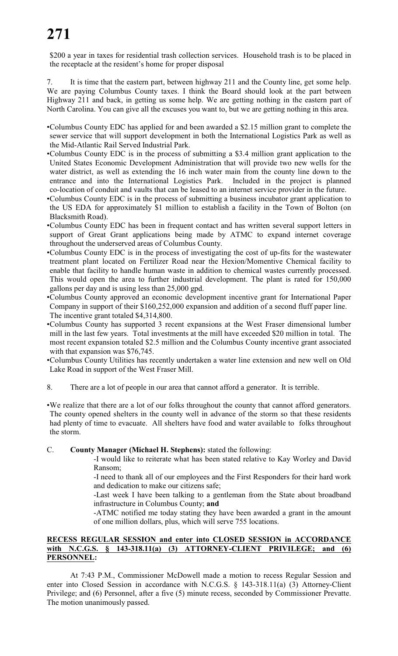\$200 a year in taxes for residential trash collection services. Household trash is to be placed in the receptacle at the resident's home for proper disposal

It is time that the eastern part, between highway 211 and the County line, get some help. We are paying Columbus County taxes. I think the Board should look at the part between Highway 211 and back, in getting us some help. We are getting nothing in the eastern part of North Carolina. You can give all the excuses you want to, but we are getting nothing in this area.

- •Columbus County EDC has applied for and been awarded a \$2.15 million grant to complete the sewer service that will support development in both the International Logistics Park as well as the Mid-Atlantic Rail Served Industrial Park.
- •Columbus County EDC is in the process of submitting a \$3.4 million grant application to the United States Economic Development Administration that will provide two new wells for the water district, as well as extending the 16 inch water main from the county line down to the entrance and into the International Logistics Park. Included in the project is planned co-location of conduit and vaults that can be leased to an internet service provider in the future.
- •Columbus County EDC is in the process of submitting a business incubator grant application to the US EDA for approximately \$1 million to establish a facility in the Town of Bolton (on Blacksmith Road).
- •Columbus County EDC has been in frequent contact and has written several support letters in support of Great Grant applications being made by ATMC to expand internet coverage throughout the underserved areas of Columbus County.
- •Columbus County EDC is in the process of investigating the cost of up-fits for the wastewater treatment plant located on Fertilizer Road near the Hexion/Momentive Chemical facility to enable that facility to handle human waste in addition to chemical wastes currently processed. This would open the area to further industrial development. The plant is rated for 150,000 gallons per day and is using less than 25,000 gpd.
- •Columbus County approved an economic development incentive grant for International Paper Company in support of their \$160,252,000 expansion and addition of a second fluff paper line. The incentive grant totaled \$4,314,800.
- •Columbus County has supported 3 recent expansions at the West Fraser dimensional lumber mill in the last few years. Total investments at the mill have exceeded \$20 million in total. The most recent expansion totaled \$2.5 million and the Columbus County incentive grant associated with that expansion was \$76,745.
- •Columbus County Utilities has recently undertaken a water line extension and new well on Old Lake Road in support of the West Fraser Mill.
- 8. There are a lot of people in our area that cannot afford a generator. It is terrible.
- •We realize that there are a lot of our folks throughout the county that cannot afford generators. The county opened shelters in the county well in advance of the storm so that these residents had plenty of time to evacuate. All shelters have food and water available to folks throughout the storm.

#### C. **County Manager (Michael H. Stephens):** stated the following:

-I would like to reiterate what has been stated relative to Kay Worley and David Ransom;

-I need to thank all of our employees and the First Responders for their hard work and dedication to make our citizens safe;

-Last week I have been talking to a gentleman from the State about broadband infrastructure in Columbus County; **and**

-ATMC notified me today stating they have been awarded a grant in the amount of one million dollars, plus, which will serve 755 locations.

#### **RECESS REGULAR SESSION and enter into CLOSED SESSION in ACCORDANCE with N.C.G.S. § 143-318.11(a) (3) ATTORNEY-CLIENT PRIVILEGE; and (6) PERSONNEL:**

At 7:43 P.M., Commissioner McDowell made a motion to recess Regular Session and enter into Closed Session in accordance with N.C.G.S. § 143-318.11(a) (3) Attorney-Client Privilege; and (6) Personnel, after a five (5) minute recess, seconded by Commissioner Prevatte. The motion unanimously passed.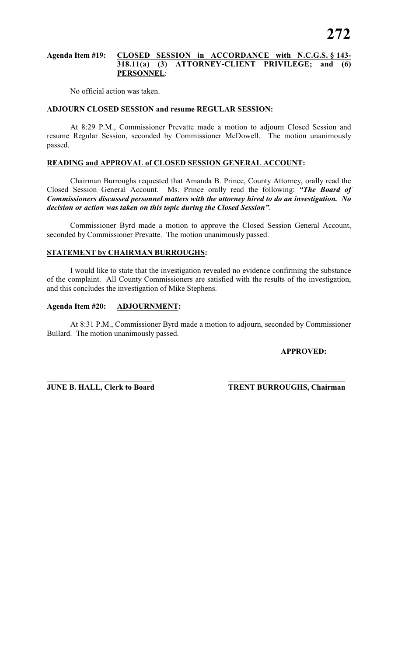#### **Agenda Item #19: CLOSED SESSION in ACCORDANCE with N.C.G.S. § 143- 318.11(a) (3) ATTORNEY-CLIENT PRIVILEGE; and (6) PERSONNEL**:

No official action was taken.

## **ADJOURN CLOSED SESSION and resume REGULAR SESSION:**

At 8:29 P.M., Commissioner Prevatte made a motion to adjourn Closed Session and resume Regular Session, seconded by Commissioner McDowell. The motion unanimously passed.

#### **READING and APPROVAL of CLOSED SESSION GENERAL ACCOUNT:**

Chairman Burroughs requested that Amanda B. Prince, County Attorney, orally read the Closed Session General Account. Ms. Prince orally read the following: *"The Board of Commissioners discussed personnel matters with the attorney hired to do an investigation. No decision or action was taken on this topic during the Closed Session"*.

Commissioner Byrd made a motion to approve the Closed Session General Account, seconded by Commissioner Prevatte. The motion unanimously passed.

#### **STATEMENT by CHAIRMAN BURROUGHS:**

I would like to state that the investigation revealed no evidence confirming the substance of the complaint. All County Commissioners are satisfied with the results of the investigation, and this concludes the investigation of Mike Stephens.

# **Agenda Item #20: ADJOURNMENT:**

At 8:31 P.M., Commissioner Byrd made a motion to adjourn, seconded by Commissioner Bullard. The motion unanimously passed.

**\_\_\_\_\_\_\_\_\_\_\_\_\_\_\_\_\_\_\_\_\_\_\_\_\_\_\_ \_\_\_\_\_\_\_\_\_\_\_\_\_\_\_\_\_\_\_\_\_\_\_\_\_\_\_\_\_\_**

#### **APPROVED:**

**JUNE B. HALL, Clerk to Board TRENT BURROUGHS, Chairman**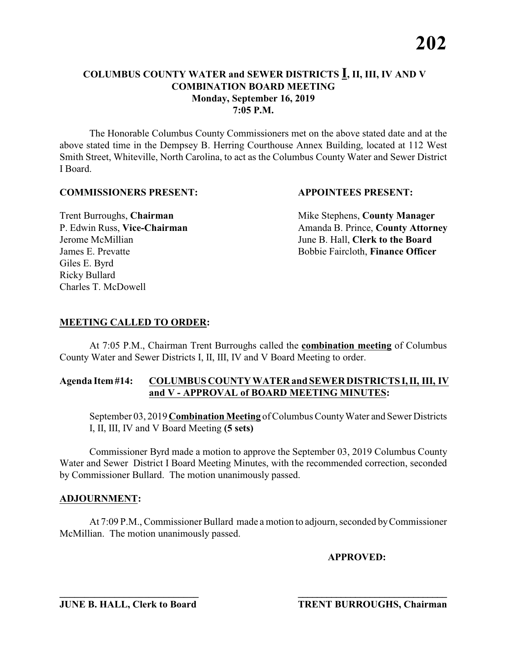The Honorable Columbus County Commissioners met on the above stated date and at the above stated time in the Dempsey B. Herring Courthouse Annex Building, located at 112 West Smith Street, Whiteville, North Carolina, to act as the Columbus County Water and Sewer District I Board.

#### **COMMISSIONERS PRESENT: APPOINTEES PRESENT:**

Giles E. Byrd Ricky Bullard Charles T. McDowell

**Trent Burroughs, Chairman** Mike Stephens, **County Manager** P. Edwin Russ, Vice-Chairman Amanda B. Prince, County Attorney Jerome McMillian June B. Hall, **Clerk to the Board** James E. Prevatte Bobbie Faircloth, **Finance Officer**

## **MEETING CALLED TO ORDER:**

At 7:05 P.M., Chairman Trent Burroughs called the **combination meeting** of Columbus County Water and Sewer Districts I, II, III, IV and V Board Meeting to order.

#### **Agenda Item #14: COLUMBUS COUNTY WATER and SEWER DISTRICTS I, II, III, IV and V - APPROVAL of BOARD MEETING MINUTES:**

September 03, 2019 **Combination Meeting** of Columbus County Water and Sewer Districts I, II, III, IV and V Board Meeting **(5 sets)**

Commissioner Byrd made a motion to approve the September 03, 2019 Columbus County Water and Sewer District I Board Meeting Minutes, with the recommended correction, seconded by Commissioner Bullard. The motion unanimously passed.

#### **ADJOURNMENT:**

At 7:09 P.M., Commissioner Bullard made a motion to adjourn, seconded by Commissioner McMillian. The motion unanimously passed.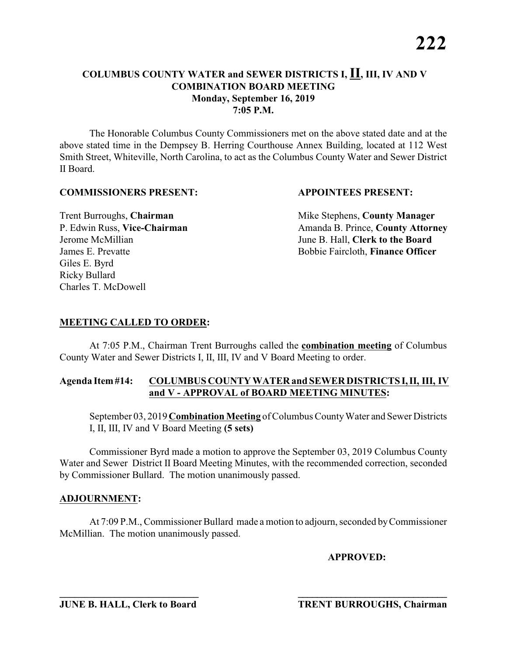The Honorable Columbus County Commissioners met on the above stated date and at the above stated time in the Dempsey B. Herring Courthouse Annex Building, located at 112 West Smith Street, Whiteville, North Carolina, to act as the Columbus County Water and Sewer District II Board.

#### **COMMISSIONERS PRESENT: APPOINTEES PRESENT:**

Giles E. Byrd Ricky Bullard Charles T. McDowell

**Trent Burroughs, Chairman** Mike Stephens, **County Manager** P. Edwin Russ, Vice-Chairman Amanda B. Prince, County Attorney Jerome McMillian June B. Hall, **Clerk to the Board** James E. Prevatte Bobbie Faircloth, **Finance Officer**

## **MEETING CALLED TO ORDER:**

At 7:05 P.M., Chairman Trent Burroughs called the **combination meeting** of Columbus County Water and Sewer Districts I, II, III, IV and V Board Meeting to order.

#### **Agenda Item #14: COLUMBUS COUNTY WATER and SEWER DISTRICTS I, II, III, IV and V - APPROVAL of BOARD MEETING MINUTES:**

September 03, 2019 **Combination Meeting** of Columbus County Water and Sewer Districts I, II, III, IV and V Board Meeting **(5 sets)**

Commissioner Byrd made a motion to approve the September 03, 2019 Columbus County Water and Sewer District II Board Meeting Minutes, with the recommended correction, seconded by Commissioner Bullard. The motion unanimously passed.

#### **ADJOURNMENT:**

At 7:09 P.M., Commissioner Bullard made a motion to adjourn, seconded by Commissioner McMillian. The motion unanimously passed.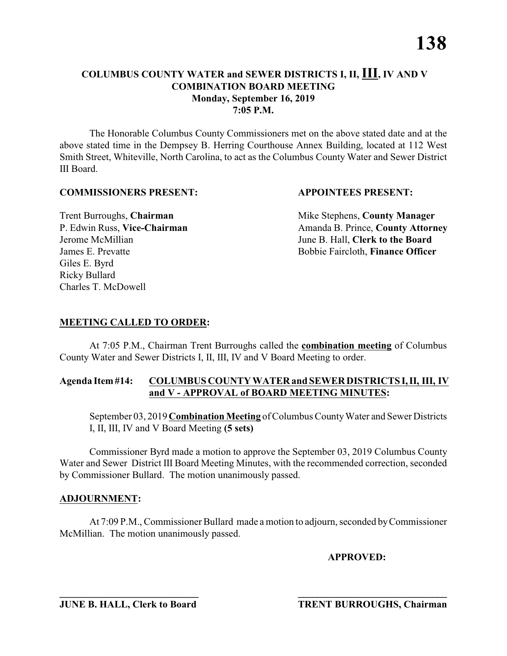The Honorable Columbus County Commissioners met on the above stated date and at the above stated time in the Dempsey B. Herring Courthouse Annex Building, located at 112 West Smith Street, Whiteville, North Carolina, to act as the Columbus County Water and Sewer District III Board.

#### **COMMISSIONERS PRESENT: APPOINTEES PRESENT:**

Giles E. Byrd Ricky Bullard Charles T. McDowell

Trent Burroughs, **Chairman** Mike Stephens, **County Manager**<br>
P. Edwin Russ, **Vice-Chairman** Management Amanda B. Prince, **County Attorn** P. Edwin Russ, **Vice-Chairman** Amanda B. Prince, **County Attorney** Jerome McMillian June B. Hall, **Clerk to the Board** James E. Prevatte Bobbie Faircloth, **Finance Officer**

## **MEETING CALLED TO ORDER:**

At 7:05 P.M., Chairman Trent Burroughs called the **combination meeting** of Columbus County Water and Sewer Districts I, II, III, IV and V Board Meeting to order.

#### **Agenda Item #14: COLUMBUS COUNTY WATER and SEWER DISTRICTS I, II, III, IV and V - APPROVAL of BOARD MEETING MINUTES:**

September 03, 2019 **Combination Meeting** of Columbus County Water and Sewer Districts I, II, III, IV and V Board Meeting **(5 sets)**

Commissioner Byrd made a motion to approve the September 03, 2019 Columbus County Water and Sewer District III Board Meeting Minutes, with the recommended correction, seconded by Commissioner Bullard. The motion unanimously passed.

#### **ADJOURNMENT:**

At 7:09 P.M., Commissioner Bullard made a motion to adjourn, seconded by Commissioner McMillian. The motion unanimously passed.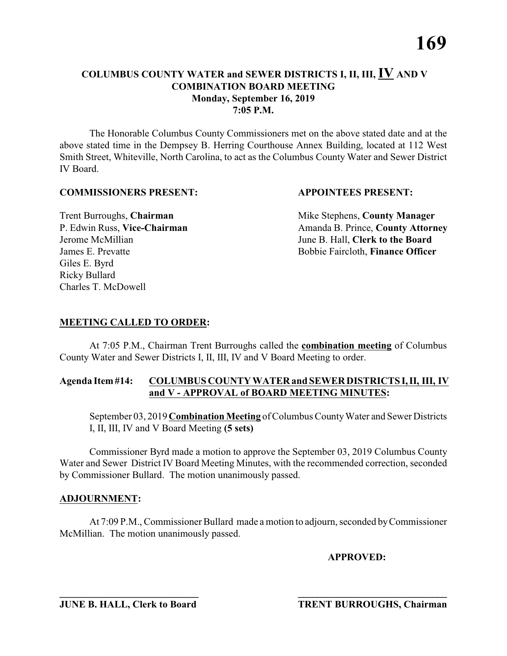The Honorable Columbus County Commissioners met on the above stated date and at the above stated time in the Dempsey B. Herring Courthouse Annex Building, located at 112 West Smith Street, Whiteville, North Carolina, to act as the Columbus County Water and Sewer District IV Board.

#### **COMMISSIONERS PRESENT: APPOINTEES PRESENT:**

Giles E. Byrd Ricky Bullard Charles T. McDowell

**Trent Burroughs, Chairman** Mike Stephens, **County Manager** P. Edwin Russ, Vice-Chairman Amanda B. Prince, County Attorney Jerome McMillian June B. Hall, **Clerk to the Board** James E. Prevatte Bobbie Faircloth, **Finance Officer**

## **MEETING CALLED TO ORDER:**

At 7:05 P.M., Chairman Trent Burroughs called the **combination meeting** of Columbus County Water and Sewer Districts I, II, III, IV and V Board Meeting to order.

#### **Agenda Item #14: COLUMBUS COUNTY WATER and SEWER DISTRICTS I, II, III, IV and V - APPROVAL of BOARD MEETING MINUTES:**

September 03, 2019 **Combination Meeting** of Columbus County Water and Sewer Districts I, II, III, IV and V Board Meeting **(5 sets)**

Commissioner Byrd made a motion to approve the September 03, 2019 Columbus County Water and Sewer District IV Board Meeting Minutes, with the recommended correction, seconded by Commissioner Bullard. The motion unanimously passed.

#### **ADJOURNMENT:**

At 7:09 P.M., Commissioner Bullard made a motion to adjourn, seconded by Commissioner McMillian. The motion unanimously passed.